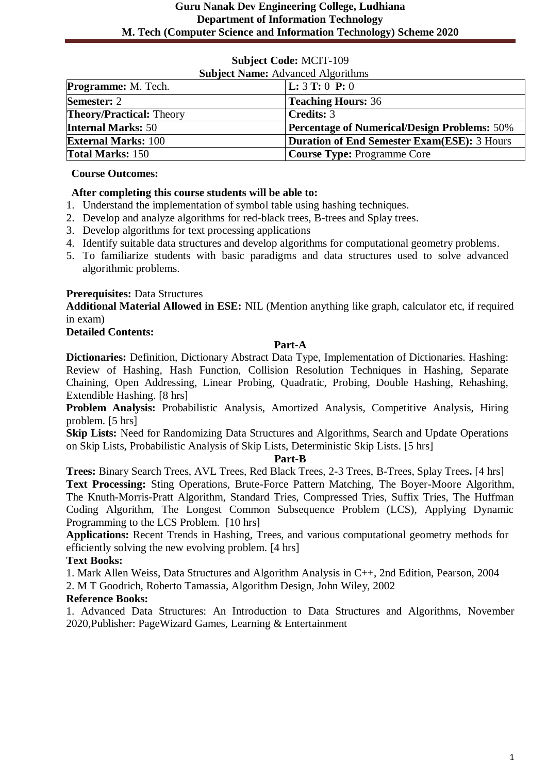| <b>Subject Name:</b> Advanced Algorithms |                                                     |
|------------------------------------------|-----------------------------------------------------|
| <b>Programme:</b> M. Tech.               | <b>L</b> : $3$ <b>T</b> : 0 <b>P</b> : 0            |
| <b>Semester: 2</b>                       | <b>Teaching Hours: 36</b>                           |
| <b>Theory/Practical:</b> Theory          | <b>Credits: 3</b>                                   |
| <b>Internal Marks: 50</b>                | <b>Percentage of Numerical/Design Problems: 50%</b> |
| <b>External Marks: 100</b>               | Duration of End Semester Exam(ESE): 3 Hours         |
| <b>Total Marks: 150</b>                  | <b>Course Type: Programme Core</b>                  |

#### **Course Outcomes:**

# **After completing this course students will be able to:**

- 1. Understand the implementation of symbol table using hashing techniques.
- 2. Develop and analyze algorithms for red-black trees, B-trees and Splay trees.
- 3. Develop algorithms for text processing applications
- 4. Identify suitable data structures and develop algorithms for computational geometry problems.
- 5. To familiarize students with basic paradigms and data structures used to solve advanced algorithmic problems.

# **Prerequisites:** Data Structures

**Additional Material Allowed in ESE:** NIL (Mention anything like graph, calculator etc, if required in exam)

#### **Detailed Contents:**

#### **Part-A**

**Dictionaries:** Definition, Dictionary Abstract Data Type, Implementation of Dictionaries. Hashing: Review of Hashing, Hash Function, Collision Resolution Techniques in Hashing, Separate Chaining, Open Addressing, Linear Probing, Quadratic, Probing, Double Hashing, Rehashing, Extendible Hashing. [8 hrs]

**Problem Analysis:** Probabilistic Analysis, Amortized Analysis, Competitive Analysis, Hiring problem. [5 hrs]

**Skip Lists:** Need for Randomizing Data Structures and Algorithms, Search and Update Operations on Skip Lists, Probabilistic Analysis of Skip Lists, Deterministic Skip Lists. [5 hrs]

#### **Part-B**

**Trees:** Binary Search Trees, AVL Trees, Red Black Trees, 2-3 Trees, B-Trees, Splay Trees**.** [4 hrs] **Text Processing:** Sting Operations, Brute-Force Pattern Matching, The Boyer-Moore Algorithm, The Knuth-Morris-Pratt Algorithm, Standard Tries, Compressed Tries, Suffix Tries, The Huffman Coding Algorithm, The Longest Common Subsequence Problem (LCS), Applying Dynamic Programming to the LCS Problem. [10 hrs]

**Applications:** Recent Trends in Hashing, Trees, and various computational geometry methods for efficiently solving the new evolving problem. [4 hrs]

# **Text Books:**

1. Mark Allen Weiss, Data Structures and Algorithm Analysis in C++, 2nd Edition, Pearson, 2004

2. M T Goodrich, Roberto Tamassia, Algorithm Design, John Wiley, 2002

# **Reference Books:**

1. Advanced Data Structures: An Introduction to Data Structures and Algorithms, November 2020,Publisher: PageWizard Games, Learning & Entertainment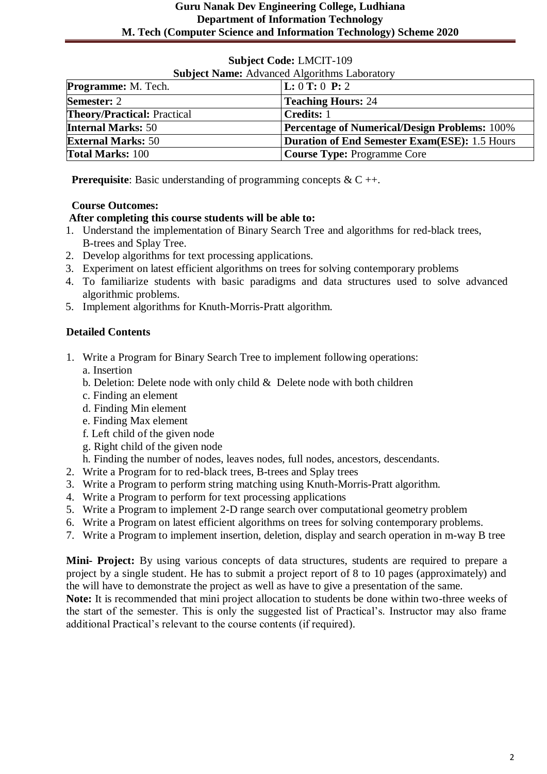| <b>Subject Code: LMCIT-109</b> |  |
|--------------------------------|--|
|--------------------------------|--|

| <b>Subject Name:</b> Advanced Algorithms Laboratory |                                                      |
|-----------------------------------------------------|------------------------------------------------------|
| <b>Programme:</b> M. Tech.                          | L: 0 T: 0 P: 2                                       |
| <b>Semester: 2</b>                                  | <b>Teaching Hours: 24</b>                            |
| <b>Theory/Practical: Practical</b>                  | <b>Credits: 1</b>                                    |
| <b>Internal Marks: 50</b>                           | <b>Percentage of Numerical/Design Problems: 100%</b> |
| <b>External Marks: 50</b>                           | <b>Duration of End Semester Exam(ESE): 1.5 Hours</b> |
| <b>Total Marks: 100</b>                             | <b>Course Type: Programme Core</b>                   |

**Prerequisite**: Basic understanding of programming concepts & C ++.

#### **Course Outcomes:**

#### **After completing this course students will be able to:**

- 1. Understand the implementation of Binary Search Tree and algorithms for red-black trees, B-trees and Splay Tree.
- 2. Develop algorithms for text processing applications.
- 3. Experiment on latest efficient algorithms on trees for solving contemporary problems
- 4. To familiarize students with basic paradigms and data structures used to solve advanced algorithmic problems.
- 5. Implement algorithms for Knuth-Morris-Pratt algorithm.

# **Detailed Contents**

- 1. Write a Program for Binary Search Tree to implement following operations: a. Insertion
	- b. Deletion: Delete node with only child  $\&$  Delete node with both children
	- c. Finding an element
	- d. Finding Min element
	- e. Finding Max element
	- f. Left child of the given node
	- g. Right child of the given node
	- h. Finding the number of nodes, leaves nodes, full nodes, ancestors, descendants.
- 2. Write a Program for to red-black trees, B-trees and Splay trees
- 3. Write a Program to perform string matching using Knuth-Morris-Pratt algorithm.
- 4. Write a Program to perform for text processing applications
- 5. Write a Program to implement 2-D range search over computational geometry problem
- 6. Write a Program on latest efficient algorithms on trees for solving contemporary problems.
- 7. Write a Program to implement insertion, deletion, display and search operation in m-way B tree

**Mini- Project:** By using various concepts of data structures, students are required to prepare a project by a single student. He has to submit a project report of 8 to 10 pages (approximately) and the will have to demonstrate the project as well as have to give a presentation of the same.

**Note:** It is recommended that mini project allocation to students be done within two-three weeks of the start of the semester. This is only the suggested list of Practical's. Instructor may also frame additional Practical's relevant to the course contents (if required).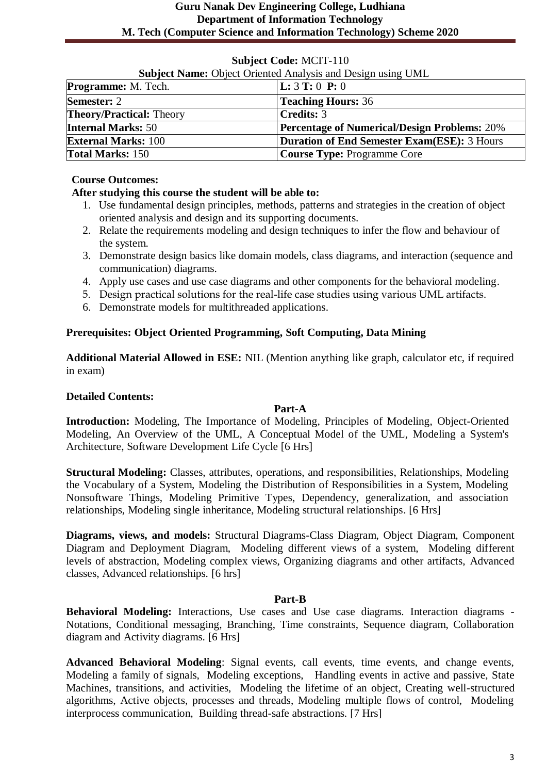# **Subject Name:** Object Oriented Analysis and Design using UML **Programme:** M. Tech. **L:** 3 **T:** 0 **P:** 0 **Semester:** 2 **Teaching Hours:** 36 **Theory/Practical:** Theory **Credits:** 3 **Internal Marks:** 50 **Percentage of Numerical/Design Problems:** 20% **External Marks:** 100 **Duration of End Semester Exam(ESE):** 3 Hours **Total Marks:** 150 **Course Type:** Programme Core

# **Subject Code:** MCIT-110

#### **Course Outcomes:**

#### **After studying this course the student will be able to:**

- 1. Use fundamental design principles, methods, patterns and strategies in the creation of object oriented analysis and design and its supporting documents.
- 2. Relate the requirements modeling and design techniques to infer the flow and behaviour of the system.
- 3. Demonstrate design basics like domain models, class diagrams, and interaction (sequence and communication) diagrams.
- 4. Apply use cases and use case diagrams and other components for the behavioral modeling.
- 5. Design practical solutions for the real-life case studies using various UML artifacts.
- 6. Demonstrate models for multithreaded applications.

#### **Prerequisites: Object Oriented Programming, Soft Computing, Data Mining**

**Additional Material Allowed in ESE:** NIL (Mention anything like graph, calculator etc, if required in exam)

#### **Detailed Contents:**

#### **Part-A**

**Introduction:** Modeling, The Importance of Modeling, Principles of Modeling, Object-Oriented Modeling, An Overview of the UML, A Conceptual Model of the UML, Modeling a System's Architecture, Software Development Life Cycle [6 Hrs]

**Structural Modeling:** Classes, attributes, operations, and responsibilities, Relationships, Modeling the Vocabulary of a System, Modeling the Distribution of Responsibilities in a System, Modeling Nonsoftware Things, Modeling Primitive Types, Dependency, generalization, and association relationships, Modeling single inheritance, Modeling structural relationships. [6 Hrs]

**Diagrams, views, and models:** Structural Diagrams-Class Diagram, Object Diagram, Component Diagram and Deployment Diagram, Modeling different views of a system, Modeling different levels of abstraction, Modeling complex views, Organizing diagrams and other artifacts, Advanced classes, Advanced relationships. [6 hrs]

#### **Part-B**

**Behavioral Modeling:** Interactions, Use cases and Use case diagrams. Interaction diagrams - Notations, Conditional messaging, Branching, Time constraints, Sequence diagram, Collaboration diagram and Activity diagrams. [6 Hrs]

**Advanced Behavioral Modeling**: Signal events, call events, time events, and change events, Modeling a family of signals, Modeling exceptions, Handling events in active and passive, State Machines, transitions, and activities, Modeling the lifetime of an object, Creating well-structured algorithms, Active objects, processes and threads, Modeling multiple flows of control, Modeling interprocess communication, Building thread-safe abstractions. [7 Hrs]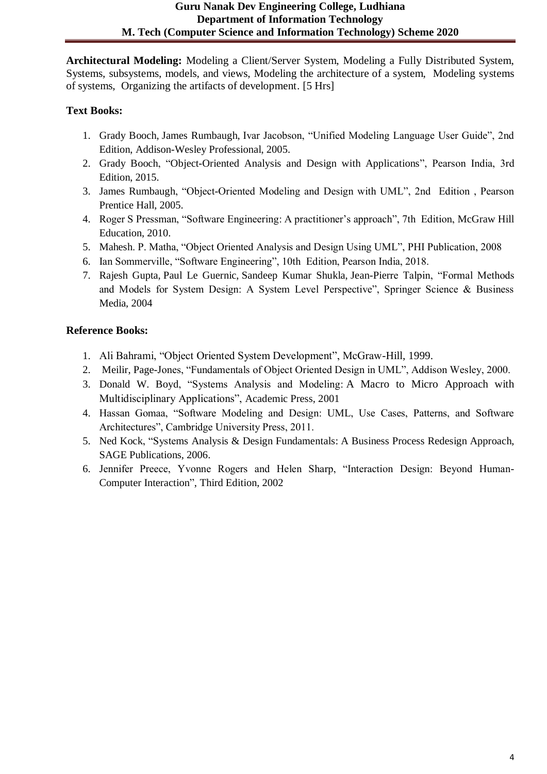**Architectural Modeling:** Modeling a Client/Server System, Modeling a Fully Distributed System, Systems, subsystems, models, and views, Modeling the architecture of a system, Modeling systems of systems, Organizing the artifacts of development. [5 Hrs]

# **Text Books:**

- 1. Grady Booch, James Rumbaugh, Ivar Jacobson, "Unified Modeling Language User Guide", 2nd Edition, Addison-Wesley Professional, 2005.
- 2. [Grady Booch,](https://www.goodreads.com/author/show/32713.Grady_Booch) ["Object-Oriented Analysis and Design with Applications"](https://www.goodreads.com/book/show/424923.Object_Oriented_Analysis_and_Design_with_Applications), Pearson India, 3rd Edition, 2015.
- 3. [James Rumbaugh,](https://www.goodreads.com/author/show/32754.James_Rumbaugh) "Object-Oriented Modeling and Design with UML", 2nd Edition , Pearson Prentice Hall, 2005.
- 4. Roger S Pressman, "Software Engineering: A practitioner's approach", 7th Edition, McGraw Hill Education, 2010.
- 5. Mahesh. P. Matha, "Object Oriented Analysis and Design Using UML", PHI Publication, 2008
- 6. Ian Sommerville, "Software Engineering", 10th Edition, Pearson India, 2018.
- 7. Rajesh Gupta, Paul Le Guernic, Sandeep Kumar Shukla, Jean-Pierre Talpin, "Formal Methods and Models for System Design: A System Level Perspective", Springer Science & Business Media, 2004

- 1. Ali Bahrami, "Object Oriented System Development", McGraw-Hill, 1999.
- 2. Meilir, Page-Jones, "Fundamentals of Object Oriented Design in UML", Addison Wesley, 2000.
- 3. [Donald W. Boyd,](https://www.google.co.in/search?tbo=p&tbm=bks&q=inauthor:%22Donald+W.+Boyd%22) "Systems Analysis and Modeling: A Macro to Micro Approach with Multidisciplinary Applications", Academic Press, 2001
- 4. Hassan Gomaa, "Software Modeling and Design: UML, Use Cases, Patterns, and Software Architectures", Cambridge University Press, 2011.
- 5. [Ned Kock,](https://www.google.co.in/search?tbo=p&tbm=bks&q=inauthor:%22Ned+Kock%22) "Systems Analysis & Design Fundamentals: A Business Process Redesign Approach, SAGE Publications, 2006.
- 6. Jennifer Preece, Yvonne Rogers and Helen Sharp, "Interaction Design: Beyond Human-Computer Interaction", Third Edition, 2002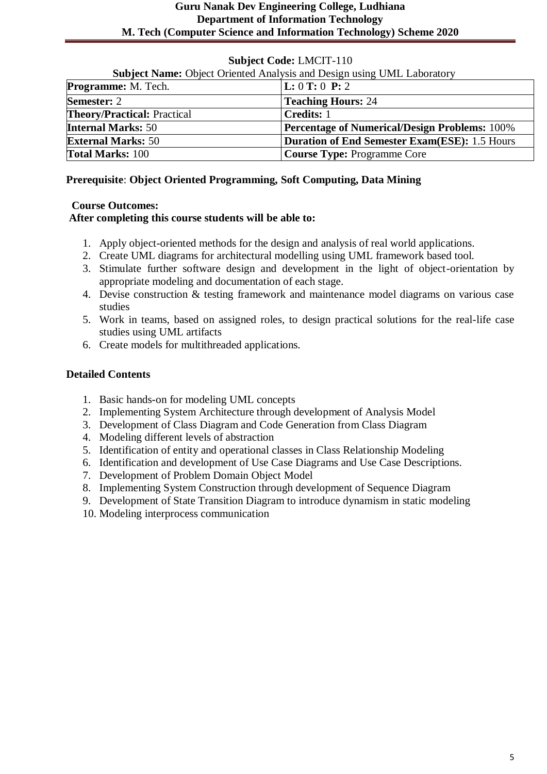| <b>Subject Name:</b> Object Oriented Analysis and Design using UML Laboratory |                                                      |
|-------------------------------------------------------------------------------|------------------------------------------------------|
| <b>Programme:</b> M. Tech.                                                    | L: 0 T: 0 P: 2                                       |
| <b>Semester: 2</b>                                                            | <b>Teaching Hours: 24</b>                            |
| <b>Theory/Practical: Practical</b>                                            | <b>Credits: 1</b>                                    |
| <b>Internal Marks: 50</b>                                                     | <b>Percentage of Numerical/Design Problems: 100%</b> |
| <b>External Marks: 50</b>                                                     | <b>Duration of End Semester Exam(ESE): 1.5 Hours</b> |
| <b>Total Marks: 100</b>                                                       | <b>Course Type: Programme Core</b>                   |

#### **Prerequisite**: **Object Oriented Programming, Soft Computing, Data Mining**

#### **Course Outcomes:**

#### **After completing this course students will be able to:**

- 1. Apply object-oriented methods for the design and analysis of real world applications.
- 2. Create UML diagrams for architectural modelling using UML framework based tool.
- 3. Stimulate further software design and development in the light of object-orientation by appropriate modeling and documentation of each stage.
- 4. Devise construction & testing framework and maintenance model diagrams on various case studies
- 5. Work in teams, based on assigned roles, to design practical solutions for the real-life case studies using UML artifacts
- 6. Create models for multithreaded applications.

#### **Detailed Contents**

- 1. Basic hands-on for modeling UML concepts
- 2. Implementing System Architecture through development of Analysis Model
- 3. Development of Class Diagram and Code Generation from Class Diagram
- 4. Modeling different levels of abstraction
- 5. Identification of entity and operational classes in Class Relationship Modeling
- 6. Identification and development of Use Case Diagrams and Use Case Descriptions.
- 7. Development of Problem Domain Object Model
- 8. Implementing System Construction through development of Sequence Diagram
- 9. Development of State Transition Diagram to introduce dynamism in static modeling
- 10. Modeling interprocess communication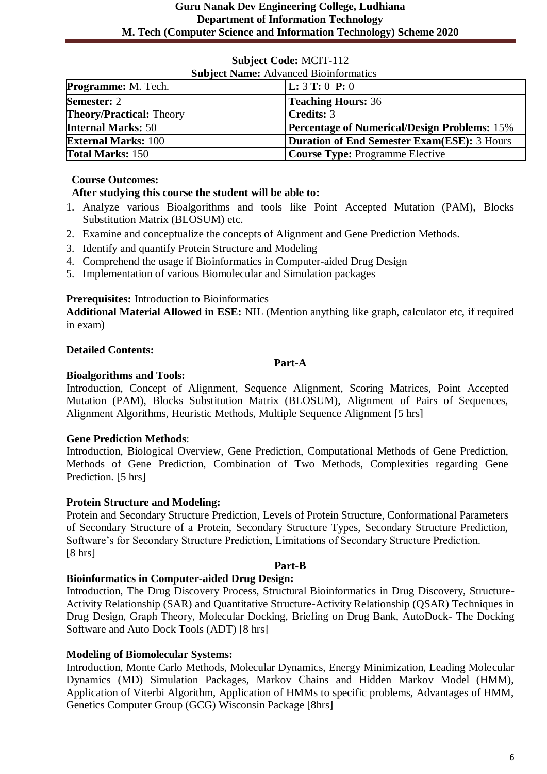| <b>Subject Name:</b> Advanced Bioinformatics |                                                     |
|----------------------------------------------|-----------------------------------------------------|
| <b>Programme:</b> M. Tech.                   | <b>L:</b> $3$ <b>T:</b> 0 <b>P:</b> 0               |
| <b>Semester: 2</b>                           | <b>Teaching Hours: 36</b>                           |
| <b>Theory/Practical:</b> Theory              | <b>Credits: 3</b>                                   |
| <b>Internal Marks: 50</b>                    | <b>Percentage of Numerical/Design Problems:</b> 15% |
| <b>External Marks: 100</b>                   | <b>Duration of End Semester Exam(ESE): 3 Hours</b>  |
| <b>Total Marks: 150</b>                      | <b>Course Type: Programme Elective</b>              |

# **Course Outcomes:**

# **After studying this course the student will be able to:**

- 1. Analyze various Bioalgorithms and tools like Point Accepted Mutation (PAM), Blocks Substitution Matrix (BLOSUM) etc.
- 2. Examine and conceptualize the concepts of Alignment and Gene Prediction Methods.
- 3. Identify and quantify Protein Structure and Modeling
- 4. Comprehend the usage if Bioinformatics in Computer-aided Drug Design
- 5. Implementation of various Biomolecular and Simulation packages

# **Prerequisites:** Introduction to Bioinformatics

**Additional Material Allowed in ESE:** NIL (Mention anything like graph, calculator etc, if required in exam)

# **Detailed Contents:**

#### **Part-A**

# **Bioalgorithms and Tools:**

Introduction, Concept of Alignment, Sequence Alignment, Scoring Matrices, Point Accepted Mutation (PAM), Blocks Substitution Matrix (BLOSUM), Alignment of Pairs of Sequences, Alignment Algorithms, Heuristic Methods, Multiple Sequence Alignment [5 hrs]

# **Gene Prediction Methods**:

Introduction, Biological Overview, Gene Prediction, Computational Methods of Gene Prediction, Methods of Gene Prediction, Combination of Two Methods, Complexities regarding Gene Prediction. [5 hrs]

# **Protein Structure and Modeling:**

Protein and Secondary Structure Prediction, Levels of Protein Structure, Conformational Parameters of Secondary Structure of a Protein, Secondary Structure Types, Secondary Structure Prediction, Software's for Secondary Structure Prediction, Limitations of Secondary Structure Prediction. [8 hrs]

# **Part-B**

# **Bioinformatics in Computer-aided Drug Design:**

Introduction, The Drug Discovery Process, Structural Bioinformatics in Drug Discovery, Structure-Activity Relationship (SAR) and Quantitative Structure-Activity Relationship (QSAR) Techniques in Drug Design, Graph Theory, Molecular Docking, Briefing on Drug Bank, AutoDock- The Docking Software and Auto Dock Tools (ADT) [8 hrs]

# **Modeling of Biomolecular Systems:**

Introduction, Monte Carlo Methods, Molecular Dynamics, Energy Minimization, Leading Molecular Dynamics (MD) Simulation Packages, Markov Chains and Hidden Markov Model (HMM), Application of Viterbi Algorithm, Application of HMMs to specific problems, Advantages of HMM, Genetics Computer Group (GCG) Wisconsin Package [8hrs]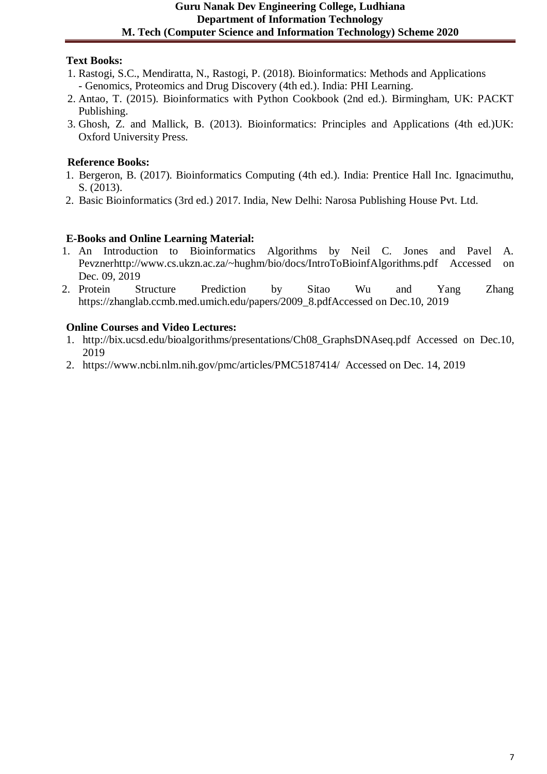# **Guru Nanak Dev Engineering College, Ludhiana Department of Information Technology M. Tech (Computer Science and Information Technology) Scheme 2020**

# **Text Books:**

- 1. Rastogi, S.C., Mendiratta, N., Rastogi, P. (2018). Bioinformatics: Methods and Applications - Genomics, Proteomics and Drug Discovery (4th ed.). India: PHI Learning.
- 2. Antao, T. (2015). Bioinformatics with Python Cookbook (2nd ed.). Birmingham, UK: PACKT Publishing.
- 3. Ghosh, Z. and Mallick, B. (2013). Bioinformatics: Principles and Applications (4th ed.)UK: Oxford University Press.

# **Reference Books:**

- 1. Bergeron, B. (2017). Bioinformatics Computing (4th ed.). India: Prentice Hall Inc. Ignacimuthu, S. (2013).
- 2. Basic Bioinformatics (3rd ed.) 2017. India, New Delhi: Narosa Publishing House Pvt. Ltd.

# **E-Books and Online Learning Material:**

- 1. An Introduction to Bioinformatics Algorithms by Neil C. Jones and Pavel A. Pevznerhttp://www.cs.ukzn.ac.za/~hughm/bio/docs/IntroToBioinfAlgorithms.pdf Accessed on Dec. 09, 2019
- 2. Protein Structure Prediction by Sitao Wu and Yang Zhang https://zhanglab.ccmb.med.umich.edu/papers/2009\_8.pdfAccessed on Dec.10, 2019

# **Online Courses and Video Lectures:**

- 1. http://bix.ucsd.edu/bioalgorithms/presentations/Ch08\_GraphsDNAseq.pdf Accessed on Dec.10, 2019
- 2. https://www.ncbi.nlm.nih.gov/pmc/articles/PMC5187414/ Accessed on Dec. 14, 2019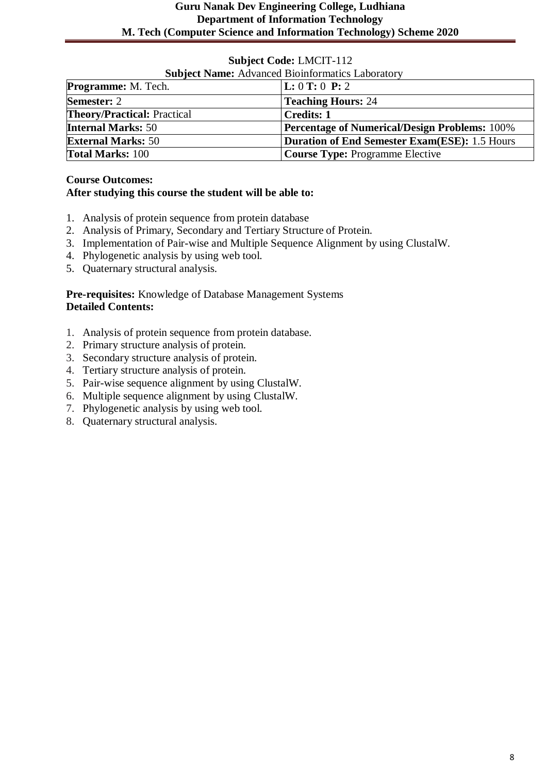|  |  | <b>Subject Code: LMCIT-112</b> |
|--|--|--------------------------------|
|--|--|--------------------------------|

| <b>Subject Name:</b> Advanced Bioinformatics Laboratory |                                                      |
|---------------------------------------------------------|------------------------------------------------------|
| <b>Programme:</b> M. Tech.                              | L: 0 T: 0 P: 2                                       |
| <b>Semester: 2</b>                                      | <b>Teaching Hours: 24</b>                            |
| <b>Theory/Practical: Practical</b>                      | <b>Credits: 1</b>                                    |
| <b>Internal Marks: 50</b>                               | <b>Percentage of Numerical/Design Problems: 100%</b> |
| <b>External Marks: 50</b>                               | <b>Duration of End Semester Exam(ESE): 1.5 Hours</b> |
| <b>Total Marks: 100</b>                                 | <b>Course Type: Programme Elective</b>               |

#### **Course Outcomes: After studying this course the student will be able to:**

- 1. Analysis of protein sequence from protein database
- 2. Analysis of Primary, Secondary and Tertiary Structure of Protein.
- 3. Implementation of Pair-wise and Multiple Sequence Alignment by using ClustalW.
- 4. Phylogenetic analysis by using web tool.
- 5. Quaternary structural analysis.

**Pre-requisites:** Knowledge of Database Management Systems **Detailed Contents:**

- 1. Analysis of protein sequence from protein database.
- 2. Primary structure analysis of protein.
- 3. Secondary structure analysis of protein.
- 4. Tertiary structure analysis of protein.
- 5. Pair-wise sequence alignment by using ClustalW.
- 6. Multiple sequence alignment by using ClustalW.
- 7. Phylogenetic analysis by using web tool.
- 8. Quaternary structural analysis.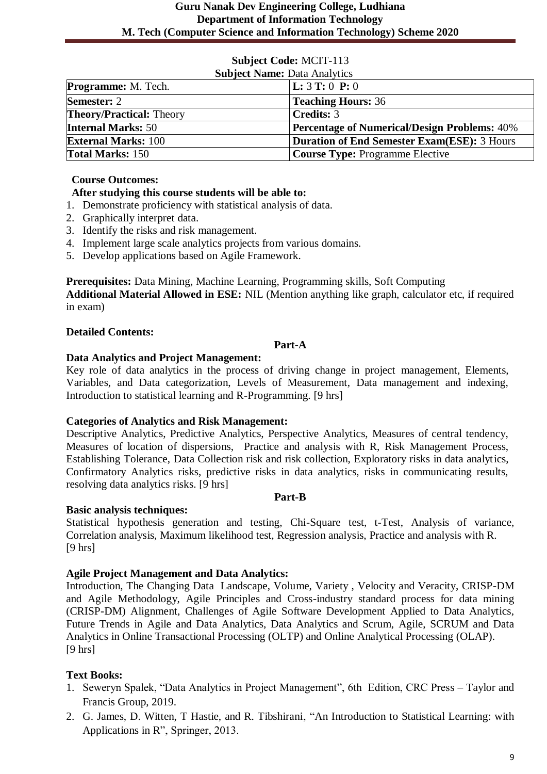| <b>Subject Name: Data Analytics</b> |                                                     |
|-------------------------------------|-----------------------------------------------------|
| <b>Programme:</b> M. Tech.          | <b>L:</b> $3$ <b>T:</b> 0 <b>P:</b> 0               |
| <b>Semester: 2</b>                  | <b>Teaching Hours: 36</b>                           |
| <b>Theory/Practical: Theory</b>     | <b>Credits: 3</b>                                   |
| <b>Internal Marks: 50</b>           | <b>Percentage of Numerical/Design Problems:</b> 40% |
| <b>External Marks: 100</b>          | Duration of End Semester Exam(ESE): 3 Hours         |
| <b>Total Marks: 150</b>             | <b>Course Type: Programme Elective</b>              |

# **Course Outcomes:**

# **After studying this course students will be able to:**

- 1. Demonstrate proficiency with statistical analysis of data.
- 2. Graphically interpret data.
- 3. Identify the risks and risk management.
- 4. Implement large scale analytics projects from various domains.
- 5. Develop applications based on Agile Framework.

**Prerequisites:** Data Mining, Machine Learning, Programming skills, Soft Computing

**Additional Material Allowed in ESE:** NIL (Mention anything like graph, calculator etc, if required in exam)

# **Detailed Contents:**

# **Part-A**

# **Data Analytics and Project Management:**

Key role of data analytics in the process of driving change in project management, Elements, Variables, and Data categorization, Levels of Measurement, Data management and indexing, Introduction to statistical learning and R-Programming. [9 hrs]

# **Categories of Analytics and Risk Management:**

Descriptive Analytics, Predictive Analytics, Perspective Analytics, Measures of central tendency, Measures of location of dispersions, Practice and analysis with R, Risk Management Process, Establishing Tolerance, Data Collection risk and risk collection, Exploratory risks in data analytics, Confirmatory Analytics risks, predictive risks in data analytics, risks in communicating results, resolving data analytics risks. [9 hrs]

# **Part-B**

# **Basic analysis techniques:**

Statistical hypothesis generation and testing, Chi-Square test, t-Test, Analysis of variance, Correlation analysis, Maximum likelihood test, Regression analysis, Practice and analysis with R. [9 hrs]

# **Agile Project Management and Data Analytics:**

Introduction, The Changing Data Landscape, Volume, Variety , Velocity and Veracity, CRISP-DM and Agile Methodology, Agile Principles and Cross-industry standard process for data mining (CRISP-DM) Alignment, Challenges of Agile Software Development Applied to Data Analytics, Future Trends in Agile and Data Analytics, Data Analytics and Scrum, Agile, SCRUM and Data Analytics in Online Transactional Processing (OLTP) and Online Analytical Processing (OLAP).  $[9 \text{ hrs}]$ 

# **Text Books:**

- 1. Seweryn Spalek, "Data Analytics in Project Management", 6th Edition, CRC Press Taylor and Francis Group, 2019.
- 2. G. James, D. Witten, T Hastie, and R. Tibshirani, "An Introduction to Statistical Learning: with Applications in R", Springer, 2013.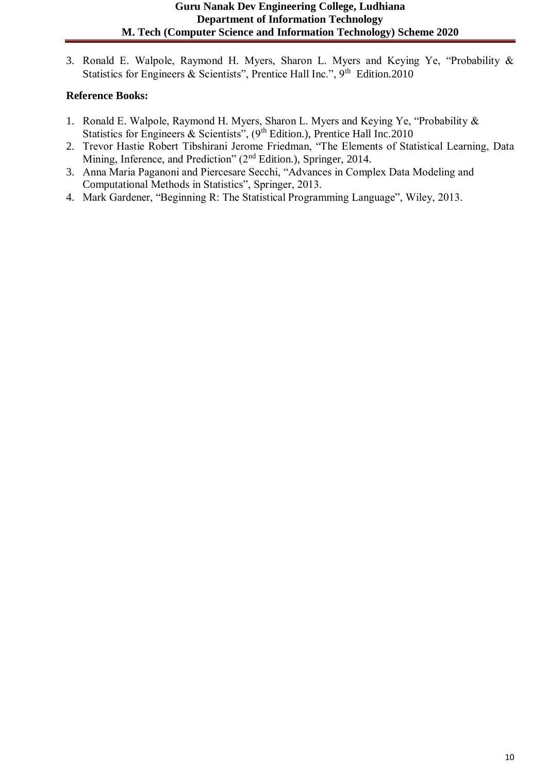3. Ronald E. Walpole, Raymond H. Myers, Sharon L. Myers and Keying Ye, "Probability & Statistics for Engineers & Scientists", Prentice Hall Inc.", 9<sup>th</sup> Edition.2010

- 1. Ronald E. Walpole, Raymond H. Myers, Sharon L. Myers and Keying Ye, "Probability & Statistics for Engineers & Scientists", (9<sup>th</sup> Edition.), Prentice Hall Inc.2010
- 2. Trevor Hastie Robert Tibshirani Jerome Friedman, "The Elements of Statistical Learning, Data Mining, Inference, and Prediction" (2<sup>nd</sup> Edition.), Springer, 2014.
- 3. Anna Maria Paganoni and Piercesare Secchi, "Advances in Complex Data Modeling and Computational Methods in Statistics", Springer, 2013.
- 4. Mark Gardener, "Beginning R: The Statistical Programming Language", Wiley, 2013.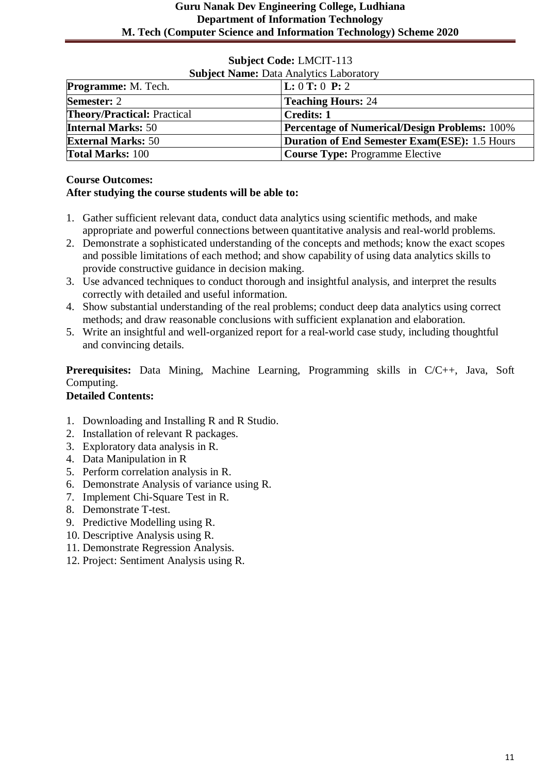| <b>Subject Name: Data Analytics Laboratory</b> |                                                      |
|------------------------------------------------|------------------------------------------------------|
| <b>Programme:</b> M. Tech.                     | $\bf L: 0 \bf T: 0 \bf P: 2$                         |
| <b>Semester: 2</b>                             | <b>Teaching Hours: 24</b>                            |
| <b>Theory/Practical: Practical</b>             | <b>Credits: 1</b>                                    |
| <b>Internal Marks: 50</b>                      | <b>Percentage of Numerical/Design Problems: 100%</b> |
| <b>External Marks: 50</b>                      | <b>Duration of End Semester Exam(ESE): 1.5 Hours</b> |
| <b>Total Marks: 100</b>                        | <b>Course Type: Programme Elective</b>               |

# **Course Outcomes:**

# **After studying the course students will be able to:**

- 1. Gather sufficient relevant data, conduct data analytics using scientific methods, and make appropriate and powerful connections between quantitative analysis and real-world problems.
- 2. Demonstrate a sophisticated understanding of the concepts and methods; know the exact scopes and possible limitations of each method; and show capability of using data analytics skills to provide constructive guidance in decision making.
- 3. Use advanced techniques to conduct thorough and insightful analysis, and interpret the results correctly with detailed and useful information.
- 4. Show substantial understanding of the real problems; conduct deep data analytics using correct methods; and draw reasonable conclusions with sufficient explanation and elaboration.
- 5. Write an insightful and well-organized report for a real-world case study, including thoughtful and convincing details.

**Prerequisites:** Data Mining, Machine Learning, Programming skills in C/C++, Java, Soft Computing.

# **Detailed Contents:**

- 1. Downloading and Installing R and R Studio.
- 2. Installation of relevant R packages.
- 3. Exploratory data analysis in R.
- 4. Data Manipulation in R
- 5. Perform correlation analysis in R.
- 6. Demonstrate Analysis of variance using R.
- 7. Implement Chi-Square Test in R.
- 8. Demonstrate T-test.
- 9. Predictive Modelling using R.
- 10. Descriptive Analysis using R.
- 11. Demonstrate Regression Analysis.
- 12. Project: Sentiment Analysis using R.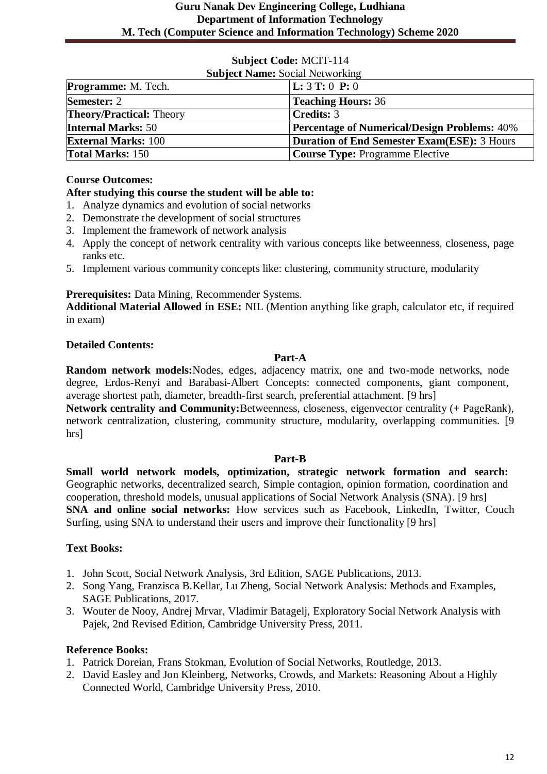| <b>Subject Name: Social Networking</b> |                                                     |
|----------------------------------------|-----------------------------------------------------|
| <b>Programme:</b> M. Tech.             | <b>L:</b> $3$ <b>T:</b> 0 <b>P:</b> 0               |
| <b>Semester: 2</b>                     | <b>Teaching Hours: 36</b>                           |
| <b>Theory/Practical: Theory</b>        | <b>Credits: 3</b>                                   |
| <b>Internal Marks: 50</b>              | <b>Percentage of Numerical/Design Problems: 40%</b> |
| <b>External Marks: 100</b>             | Duration of End Semester Exam(ESE): 3 Hours         |
| <b>Total Marks: 150</b>                | <b>Course Type: Programme Elective</b>              |

# **Course Outcomes:**

#### **After studying this course the student will be able to:**

- 1. Analyze dynamics and evolution of social networks
- 2. Demonstrate the development of social structures
- 3. Implement the framework of network analysis
- 4. Apply the concept of network centrality with various concepts like betweenness, closeness, page ranks etc.
- 5. Implement various community concepts like: clustering, community structure, modularity

# **Prerequisites:** Data Mining, Recommender Systems.

**Additional Material Allowed in ESE:** NIL (Mention anything like graph, calculator etc, if required in exam)

# **Detailed Contents:**

#### **Part-A**

**Random network models:**Nodes, edges, adjacency matrix, one and two-mode networks, node degree, Erdos-Renyi and Barabasi-Albert Concepts: connected components, giant component, average shortest path, diameter, breadth-first search, preferential attachment. [9 hrs]

**Network centrality and Community:**Betweenness, closeness, eigenvector centrality (+ PageRank), network centralization, clustering, community structure, modularity, overlapping communities. [9 hrs]

#### **Part-B**

**Small world network models, optimization, strategic network formation and search:**  Geographic networks, decentralized search, Simple contagion, opinion formation, coordination and cooperation, threshold models, unusual applications of Social Network Analysis (SNA). [9 hrs] **SNA and online social networks:** How services such as Facebook, LinkedIn, Twitter, Couch Surfing, using SNA to understand their users and improve their functionality [9 hrs]

# **Text Books:**

- 1. John Scott, Social Network Analysis, 3rd Edition, SAGE Publications, 2013.
- 2. Song Yang, Franzisca B.Kellar, Lu Zheng, Social Network Analysis: Methods and Examples, SAGE Publications, 2017.
- 3. Wouter de Nooy, Andrej Mrvar, Vladimir Batagelj, Exploratory Social Network Analysis with Pajek, 2nd Revised Edition, Cambridge University Press, 2011.

- 1. Patrick Doreian, Frans Stokman, Evolution of Social Networks, Routledge, 2013.
- 2. David Easley and Jon Kleinberg, Networks, Crowds, and Markets: Reasoning About a Highly Connected World, Cambridge University Press, 2010.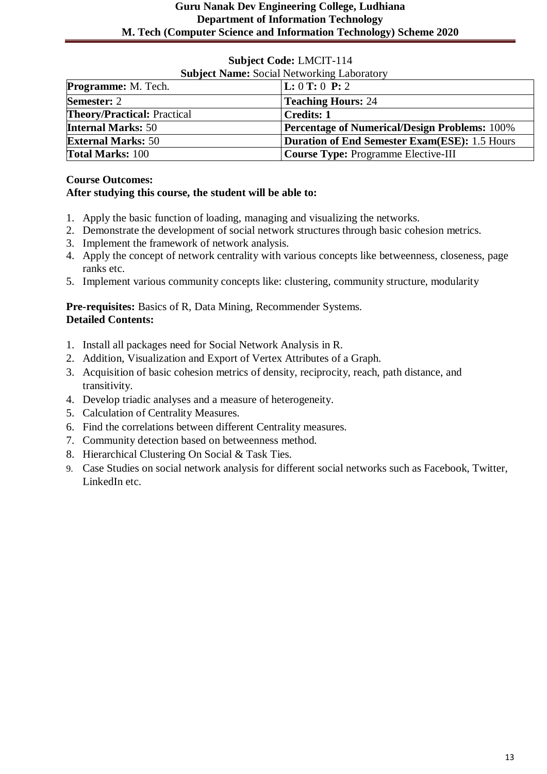| <b>Subject Code: LMCIT-114</b> |  |
|--------------------------------|--|
|--------------------------------|--|

| <b>Subject Name: Social Networking Laboratory</b> |                                                      |
|---------------------------------------------------|------------------------------------------------------|
| <b>Programme:</b> M. Tech.                        | L: 0 T: 0 P: 2                                       |
| <b>Semester: 2</b>                                | <b>Teaching Hours: 24</b>                            |
| <b>Theory/Practical: Practical</b>                | <b>Credits: 1</b>                                    |
| <b>Internal Marks: 50</b>                         | <b>Percentage of Numerical/Design Problems: 100%</b> |
| <b>External Marks: 50</b>                         | <b>Duration of End Semester Exam(ESE): 1.5 Hours</b> |
| <b>Total Marks: 100</b>                           | Course Type: Programme Elective-III                  |

#### **Course Outcomes: After studying this course, the student will be able to:**

- 1. Apply the basic function of loading, managing and visualizing the networks.
- 2. Demonstrate the development of social network structures through basic cohesion metrics.
- 3. Implement the framework of network analysis.
- 4. Apply the concept of network centrality with various concepts like betweenness, closeness, page ranks etc.
- 5. Implement various community concepts like: clustering, community structure, modularity

**Pre-requisites:** Basics of R, Data Mining, Recommender Systems. **Detailed Contents:**

- 1. Install all packages need for Social Network Analysis in R.
- 2. Addition, Visualization and Export of Vertex Attributes of a Graph.
- 3. Acquisition of basic cohesion metrics of density, reciprocity, reach, path distance, and transitivity.
- 4. Develop triadic analyses and a measure of heterogeneity.
- 5. Calculation of Centrality Measures.
- 6. Find the correlations between different Centrality measures.
- 7. Community detection based on betweenness method.
- 8. Hierarchical Clustering On Social & Task Ties.
- 9. Case Studies on social network analysis for different social networks such as Facebook, Twitter, LinkedIn etc.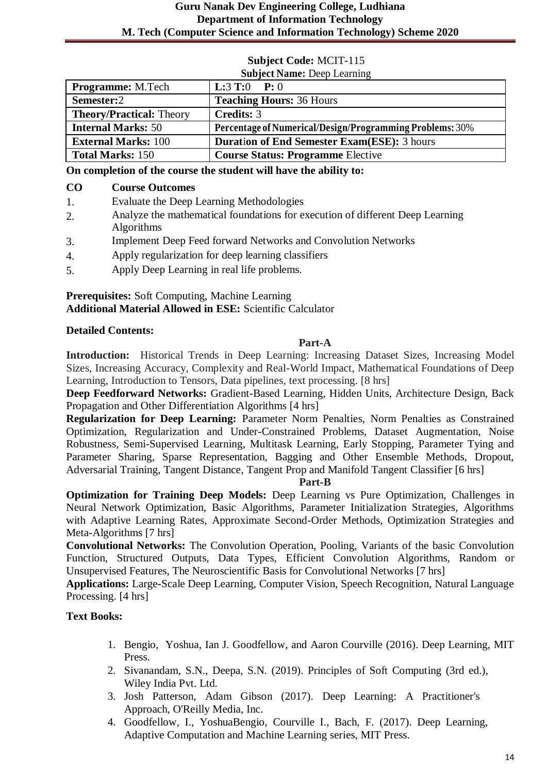| <b>Subject Name: Deep Learning</b> |                                                          |
|------------------------------------|----------------------------------------------------------|
| <b>Programme:</b> M.Tech           | <b>L:3 T:0</b> P: 0                                      |
| Semester:2                         | <b>Teaching Hours: 36 Hours</b>                          |
| <b>Theory/Practical: Theory</b>    | <b>Credits: 3</b>                                        |
| <b>Internal Marks: 50</b>          | Percentage of Numerical/Design/Programming Problems: 30% |
| <b>External Marks: 100</b>         | <b>Duration of End Semester Exam(ESE): 3 hours</b>       |
| <b>Total Marks: 150</b>            | <b>Course Status: Programme Elective</b>                 |

**On completion of the course the student will have the ability to:**

#### **CO Course Outcomes**

- 1. Evaluate the Deep Learning Methodologies
- 2. Analyze the mathematical foundations for execution of different Deep Learning Algorithms
- 3. Implement Deep Feed forward Networks and Convolution Networks
- 4. Apply regularization for deep learning classifiers
- 5. Apply Deep Learning in real life problems.

#### **Prerequisites:** Soft Computing, Machine Learning **Additional Material Allowed in ESE:** Scientific Calculator

#### **Detailed Contents:**

#### **Part-A**

**Introduction:** Historical Trends in Deep Learning: Increasing Dataset Sizes, Increasing Model Sizes, Increasing Accuracy, Complexity and Real-World Impact, Mathematical Foundations of Deep Learning, Introduction to Tensors, Data pipelines, text processing. [8 hrs]

**Deep Feedforward Networks:** Gradient-Based Learning, Hidden Units, Architecture Design, Back Propagation and Other Differentiation Algorithms [4 hrs]

**Regularization for Deep Learning:** Parameter Norm Penalties, Norm Penalties as Constrained Optimization, Regularization and Under-Constrained Problems, Dataset Augmentation, Noise Robustness, Semi-Supervised Learning, Multitask Learning, Early Stopping, Parameter Tying and Parameter Sharing, Sparse Representation, Bagging and Other Ensemble Methods, Dropout, Adversarial Training, Tangent Distance, Tangent Prop and Manifold Tangent Classifier [6 hrs]

**Part-B**

**Optimization for Training Deep Models:** Deep Learning vs Pure Optimization, Challenges in Neural Network Optimization, Basic Algorithms, Parameter Initialization Strategies, Algorithms with Adaptive Learning Rates, Approximate Second-Order Methods, Optimization Strategies and Meta-Algorithms [7 hrs]

**Convolutional Networks:** The Convolution Operation, Pooling, Variants of the basic Convolution Function, Structured Outputs, Data Types, Efficient Convolution Algorithms, Random or Unsupervised Features, The Neuroscientific Basis for Convolutional Networks [7 hrs]

**Applications:** Large-Scale Deep Learning, Computer Vision, Speech Recognition, Natural Language Processing. [4 hrs]

# **Text Books:**

- 1. Bengio, Yoshua, Ian J. Goodfellow, and Aaron Courville (2016). Deep Learning, MIT Press.
- 2. Sivanandam, S.N., Deepa, S.N. (2019). Principles of Soft Computing (3rd ed.), Wiley India Pvt. Ltd.
- 3. Josh Patterson, Adam Gibson (2017). Deep Learning: A Practitioner's Approach, O'Reilly Media, Inc.
- 4. Goodfellow, I., YoshuaBengio, Courville I., Bach, F. (2017). Deep Learning, Adaptive Computation and Machine Learning series, MIT Press.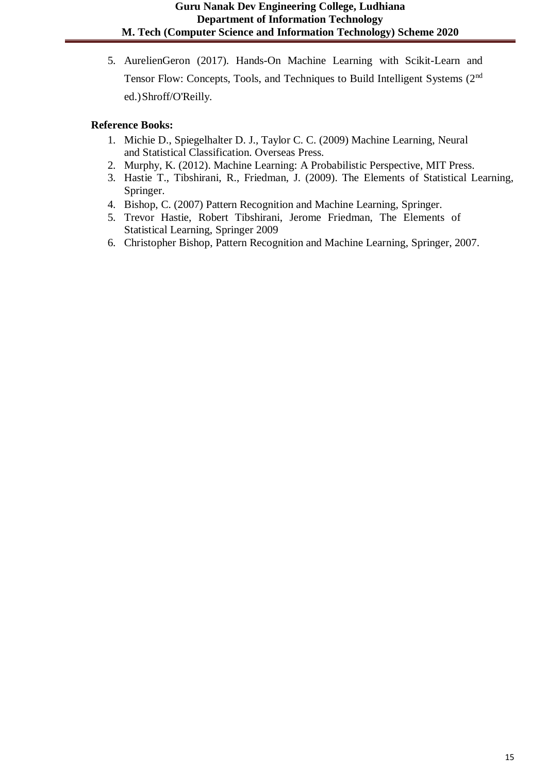5. AurelienGeron (2017). Hands-On Machine Learning with Scikit-Learn and Tensor Flow: Concepts, Tools, and Techniques to Build Intelligent Systems (2nd ed.)Shroff/O'Reilly.

- 1. Michie D., Spiegelhalter D. J., Taylor C. C. (2009) Machine Learning, Neural and Statistical Classification. Overseas Press.
- 2. Murphy, K. (2012). Machine Learning: A Probabilistic Perspective, MIT Press.
- 3. Hastie T., Tibshirani, R., Friedman, J. (2009). The Elements of Statistical Learning, Springer.
- 4. Bishop, C. (2007) Pattern Recognition and Machine Learning, Springer.
- 5. Trevor Hastie, Robert Tibshirani, Jerome Friedman, The Elements of Statistical Learning, Springer 2009
- 6. Christopher Bishop, Pattern Recognition and Machine Learning, Springer, 2007.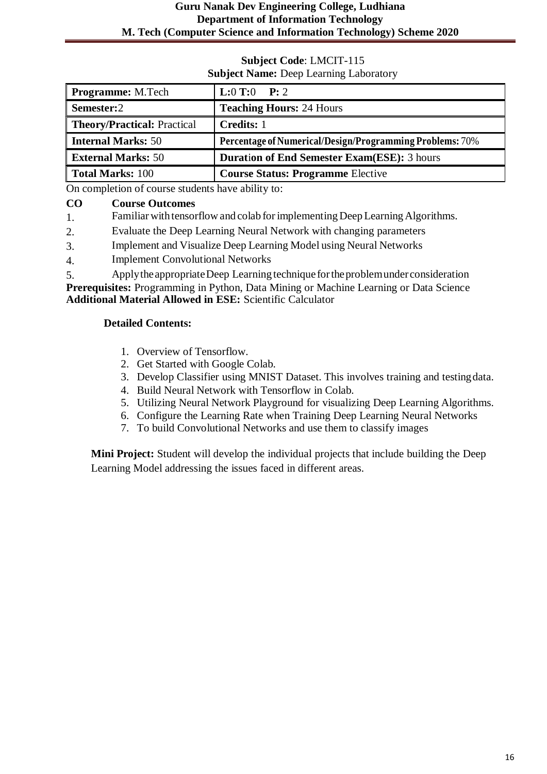# **Guru Nanak Dev Engineering College, Ludhiana Department of Information Technology M. Tech (Computer Science and Information Technology) Scheme 2020**

#### **Subject Code**: LMCIT-115 **Subject Name:** Deep Learning Laboratory

| <b>Programme:</b> M.Tech           | <b>L:0 T:0</b> P: 2                                      |
|------------------------------------|----------------------------------------------------------|
| Semester:2                         | <b>Teaching Hours: 24 Hours</b>                          |
| <b>Theory/Practical: Practical</b> | <b>Credits: 1</b>                                        |
| <b>Internal Marks: 50</b>          | Percentage of Numerical/Design/Programming Problems: 70% |
| <b>External Marks: 50</b>          | <b>Duration of End Semester Exam(ESE):</b> 3 hours       |
| <b>Total Marks: 100</b>            | <b>Course Status: Programme Elective</b>                 |

On completion of course students have ability to:

# **CO Course Outcomes**

1. Familiar withtensorflow and colab forimplementing DeepLearningAlgorithms.

- 2. Evaluate the Deep Learning Neural Network with changing parameters
- 3. Implement and Visualize Deep Learning Model using Neural Networks
- 4. Implement Convolutional Networks

5. ApplytheappropriateDeep Learningtechnique fortheproblemunderconsideration **Prerequisites:** Programming in Python, Data Mining or Machine Learning or Data Science **Additional Material Allowed in ESE:** Scientific Calculator

#### **Detailed Contents:**

- 1. Overview of Tensorflow.
- 2. Get Started with Google Colab.
- 3. Develop Classifier using MNIST Dataset. This involves training and testingdata.
- 4. Build Neural Network with Tensorflow in Colab.
- 5. Utilizing Neural Network Playground for visualizing Deep Learning Algorithms.
- 6. Configure the Learning Rate when Training Deep Learning Neural Networks
- 7. To build Convolutional Networks and use them to classify images

**Mini Project:** Student will develop the individual projects that include building the Deep Learning Model addressing the issues faced in different areas.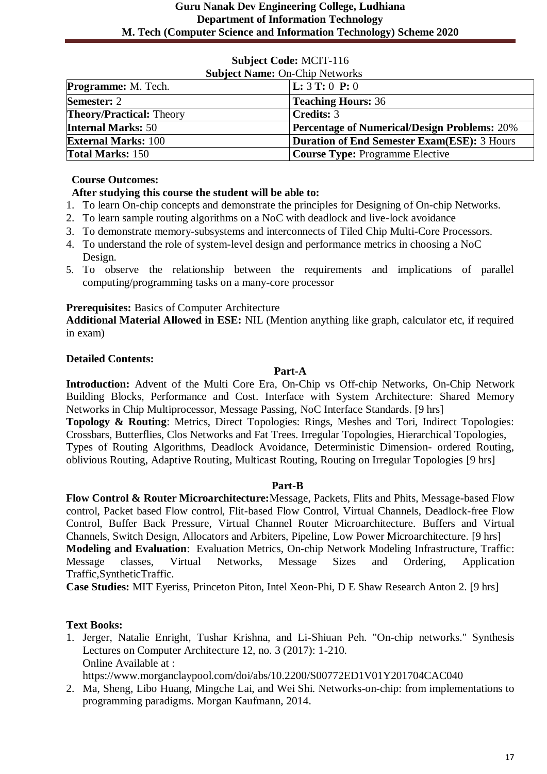| <b>Subject Name: On-Chip Networks</b> |                                                     |
|---------------------------------------|-----------------------------------------------------|
| <b>Programme:</b> M. Tech.            | $\mathbf{L}: 3 \mathbf{T}: 0 \mathbf{P}: 0$         |
| <b>Semester: 2</b>                    | <b>Teaching Hours: 36</b>                           |
| <b>Theory/Practical:</b> Theory       | <b>Credits: 3</b>                                   |
| <b>Internal Marks: 50</b>             | <b>Percentage of Numerical/Design Problems: 20%</b> |
| <b>External Marks: 100</b>            | Duration of End Semester Exam(ESE): 3 Hours         |
| <b>Total Marks: 150</b>               | <b>Course Type: Programme Elective</b>              |

# **Course Outcomes:**

# **After studying this course the student will be able to:**

- 1. To learn On-chip concepts and demonstrate the principles for Designing of On-chip Networks.
- 2. To learn sample routing algorithms on a NoC with deadlock and live-lock avoidance
- 3. To demonstrate memory-subsystems and interconnects of Tiled Chip Multi-Core Processors.
- 4. To understand the role of system-level design and performance metrics in choosing a NoC Design.
- 5. To observe the relationship between the requirements and implications of parallel computing/programming tasks on a many-core processor

# **Prerequisites:** Basics of Computer Architecture

**Additional Material Allowed in ESE:** NIL (Mention anything like graph, calculator etc, if required in exam)

# **Detailed Contents:**

# **Part-A**

**Introduction:** Advent of the Multi Core Era, On-Chip vs Off-chip Networks, On-Chip Network Building Blocks, Performance and Cost. Interface with System Architecture: Shared Memory Networks in Chip Multiprocessor, Message Passing, NoC Interface Standards. [9 hrs] **Topology & Routing**: Metrics, Direct Topologies: Rings, Meshes and Tori, Indirect Topologies: Crossbars, Butterflies, Clos Networks and Fat Trees. Irregular Topologies, Hierarchical Topologies, Types of Routing Algorithms, Deadlock Avoidance, Deterministic Dimension- ordered Routing, oblivious Routing, Adaptive Routing, Multicast Routing, Routing on Irregular Topologies [9 hrs]

# **Part-B**

**Flow Control & Router Microarchitecture:**Message, Packets, Flits and Phits, Message-based Flow control, Packet based Flow control, Flit-based Flow Control, Virtual Channels, Deadlock-free Flow Control, Buffer Back Pressure, Virtual Channel Router Microarchitecture. Buffers and Virtual Channels, Switch Design, Allocators and Arbiters, Pipeline, Low Power Microarchitecture. [9 hrs] **Modeling and Evaluation**: Evaluation Metrics, On-chip Network Modeling Infrastructure, Traffic: Message classes, Virtual Networks, Message Sizes and Ordering, Application Traffic,SyntheticTraffic.

**Case Studies:** MIT Eyeriss, Princeton Piton, Intel Xeon-Phi, D E Shaw Research Anton 2. [9 hrs]

# **Text Books:**

1. Jerger, Natalie Enright, Tushar Krishna, and Li-Shiuan Peh. "On-chip networks." Synthesis Lectures on Computer Architecture 12, no. 3 (2017): 1-210. Online Available at :

https://www.morganclaypool.com/doi/abs/10.2200/S00772ED1V01Y201704CAC040

2. Ma, Sheng, Libo Huang, Mingche Lai, and Wei Shi. Networks-on-chip: from implementations to programming paradigms. Morgan Kaufmann, 2014.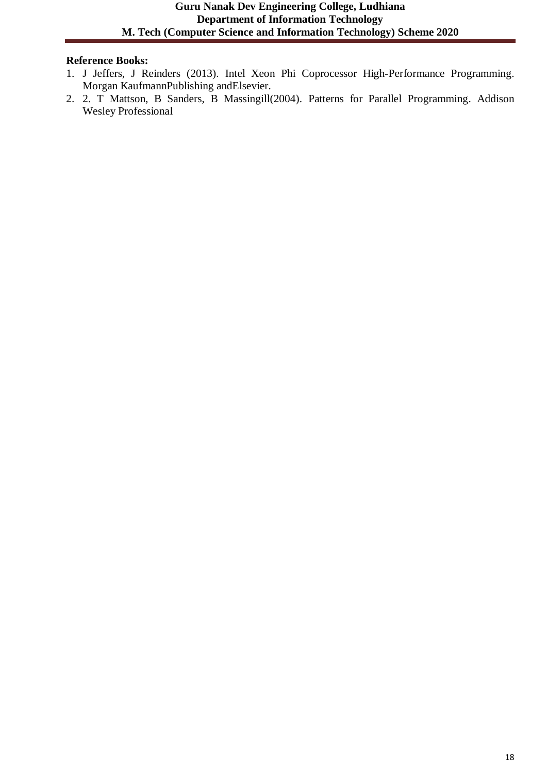- 1. J Jeffers, J Reinders (2013). Intel Xeon Phi Coprocessor High-Performance Programming. Morgan KaufmannPublishing andElsevier.
- 2. 2. T Mattson, B Sanders, B Massingill(2004). Patterns for Parallel Programming. Addison Wesley Professional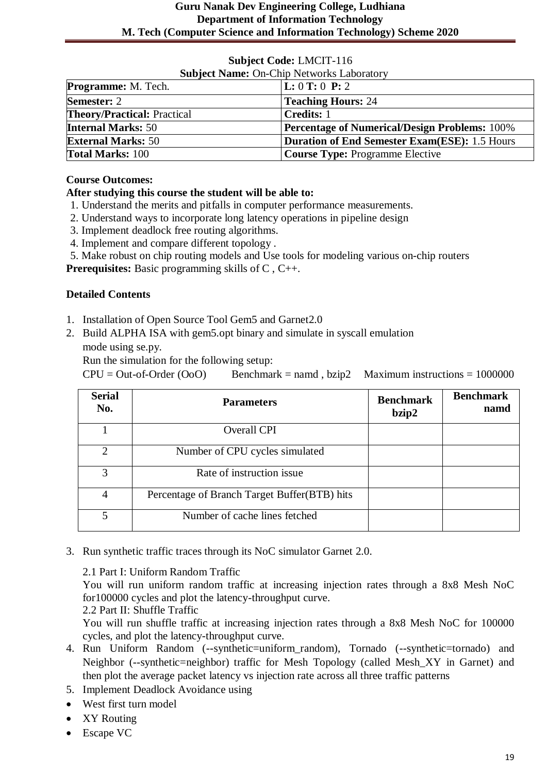| <b>Subject Name: On-Chip Networks Laboratory</b> |                                                      |  |
|--------------------------------------------------|------------------------------------------------------|--|
| <b>Programme:</b> M. Tech.                       | $\bf L: 0 T: 0 P: 2$                                 |  |
| <b>Semester: 2</b>                               | <b>Teaching Hours: 24</b>                            |  |
| <b>Theory/Practical: Practical</b>               | <b>Credits:</b> 1                                    |  |
| <b>Internal Marks: 50</b>                        | <b>Percentage of Numerical/Design Problems: 100%</b> |  |
| <b>External Marks: 50</b>                        | <b>Duration of End Semester Exam(ESE): 1.5 Hours</b> |  |
| <b>Total Marks: 100</b>                          | <b>Course Type: Programme Elective</b>               |  |

#### **Course Outcomes:**

# **After studying this course the student will be able to:**

- 1. Understand the merits and pitfalls in computer performance measurements.
- 2. Understand ways to incorporate long latency operations in pipeline design
- 3. Implement deadlock free routing algorithms.
- 4. Implement and compare different topology .

5. Make robust on chip routing models and Use tools for modeling various on-chip routers

**Prerequisites:** Basic programming skills of C , C++.

#### **Detailed Contents**

- 1. Installation of Open Source Tool Gem5 and Garnet2.0
- 2. Build ALPHA ISA with gem5.opt binary and simulate in syscall emulation mode using se.py.

Run the simulation for the following setup:

 $CPU = Out-of-Order (OO)$  Benchmark = namd, bzip2 Maximum instructions = 1000000

| <b>Serial</b><br>No. | <b>Parameters</b>                            | <b>Benchmark</b><br>bzip2 | <b>Benchmark</b><br>namd |
|----------------------|----------------------------------------------|---------------------------|--------------------------|
|                      | <b>Overall CPI</b>                           |                           |                          |
| $\mathfrak{2}$       | Number of CPU cycles simulated               |                           |                          |
| 3                    | Rate of instruction issue                    |                           |                          |
| 4                    | Percentage of Branch Target Buffer(BTB) hits |                           |                          |
| 5                    | Number of cache lines fetched                |                           |                          |

3. Run synthetic traffic traces through its NoC simulator Garnet 2.0.

2.1 Part I: Uniform Random Traffic

You will run uniform random traffic at increasing injection rates through a 8x8 Mesh NoC for100000 cycles and plot the latency-throughput curve.

2.2 Part II: Shuffle Traffic

You will run shuffle traffic at increasing injection rates through a 8x8 Mesh NoC for 100000 cycles, and plot the latency-throughput curve.

- 4. Run Uniform Random (--synthetic=uniform\_random), Tornado (--synthetic=tornado) and Neighbor (--synthetic=neighbor) traffic for Mesh Topology (called Mesh\_XY in Garnet) and then plot the average packet latency vs injection rate across all three traffic patterns
- 5. Implement Deadlock Avoidance using
- West first turn model
- XY Routing
- Escape VC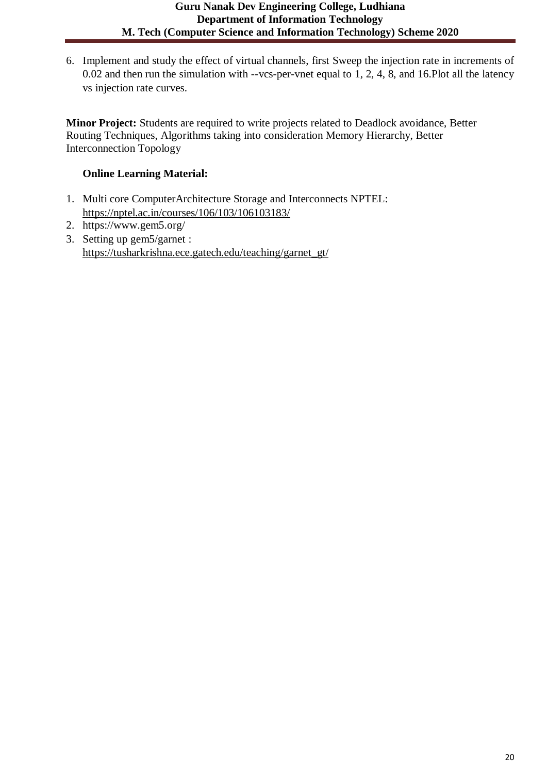6. Implement and study the effect of virtual channels, first Sweep the injection rate in increments of 0.02 and then run the simulation with --vcs-per-vnet equal to 1, 2, 4, 8, and 16.Plot all the latency vs injection rate curves.

**Minor Project:** Students are required to write projects related to Deadlock avoidance, Better Routing Techniques, Algorithms taking into consideration Memory Hierarchy, Better Interconnection Topology

# **Online Learning Material:**

- 1. Multi core ComputerArchitecture Storage and Interconnects NPTEL: <https://nptel.ac.in/courses/106/103/106103183/>
- 2. https://www.gem5.org/
- 3. Setting up gem5/garnet : [https://tusharkrishna.ece.gatech.edu/teaching/garnet\\_gt/](https://tusharkrishna.ece.gatech.edu/teaching/garnet_gt/)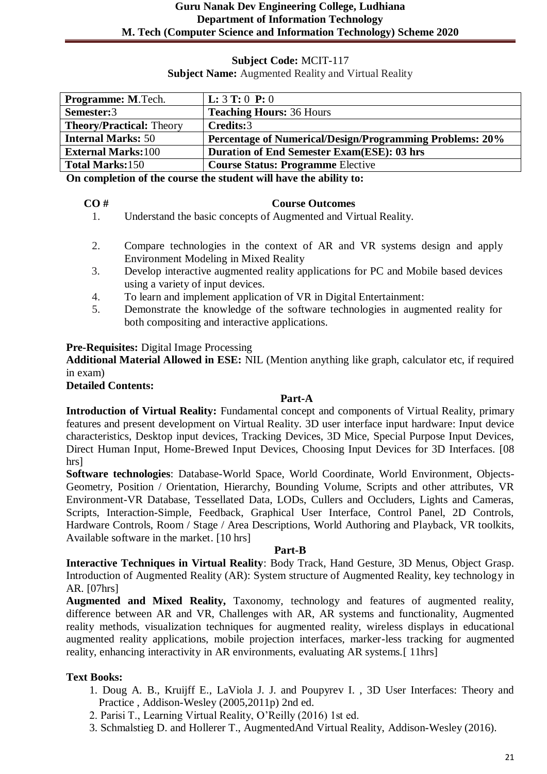**Subject Name:** Augmented Reality and Virtual Reality

| Programme: M.Tech.              | <b>L:</b> $3$ <b>T:</b> $0$ <b>P:</b> $0$                       |
|---------------------------------|-----------------------------------------------------------------|
| Semester:3                      | <b>Teaching Hours: 36 Hours</b>                                 |
| <b>Theory/Practical: Theory</b> | Credits:3                                                       |
| <b>Internal Marks: 50</b>       | <b>Percentage of Numerical/Design/Programming Problems: 20%</b> |
| <b>External Marks:100</b>       | <b>Duration of End Semester Exam(ESE): 03 hrs</b>               |
| <b>Total Marks:150</b>          | <b>Course Status: Programme Elective</b>                        |

**On completion of the course the student will have the ability to:**

#### **CO # Course Outcomes**

- 1. Understand the basic concepts of Augmented and Virtual Reality.
- 2. Compare technologies in the context of AR and VR systems design and apply Environment Modeling in Mixed Reality
- 3. Develop interactive augmented reality applications for PC and Mobile based devices using a variety of input devices.
- 4. To learn and implement application of VR in Digital Entertainment:
- 5. Demonstrate the knowledge of the software technologies in augmented reality for both compositing and interactive applications.

#### **Pre-Requisites:** Digital Image Processing

**Additional Material Allowed in ESE:** NIL (Mention anything like graph, calculator etc, if required in exam)

#### **Detailed Contents:**

#### **Part-A**

**Introduction of Virtual Reality:** Fundamental concept and components of Virtual Reality, primary features and present development on Virtual Reality. 3D user interface input hardware: Input device characteristics, Desktop input devices, Tracking Devices, 3D Mice, Special Purpose Input Devices, Direct Human Input, Home-Brewed Input Devices, Choosing Input Devices for 3D Interfaces. [08 hrs]

**Software technologies**: Database-World Space, World Coordinate, World Environment, Objects-Geometry, Position / Orientation, Hierarchy, Bounding Volume, Scripts and other attributes, VR Environment-VR Database, Tessellated Data, LODs, Cullers and Occluders, Lights and Cameras, Scripts, Interaction-Simple, Feedback, Graphical User Interface, Control Panel, 2D Controls, Hardware Controls, Room / Stage / Area Descriptions, World Authoring and Playback, VR toolkits, Available software in the market. [10 hrs]

#### **Part-B**

**Interactive Techniques in Virtual Reality**: Body Track, Hand Gesture, 3D Menus, Object Grasp. Introduction of Augmented Reality (AR): System structure of Augmented Reality, key technology in AR. [07hrs]

**Augmented and Mixed Reality,** Taxonomy, technology and features of augmented reality, difference between AR and VR, Challenges with AR, AR systems and functionality, Augmented reality methods, visualization techniques for augmented reality, wireless displays in educational augmented reality applications, mobile projection interfaces, marker-less tracking for augmented reality, enhancing interactivity in AR environments, evaluating AR systems.[ 11hrs]

# **Text Books:**

- 1. Doug A. B., Kruijff E., LaViola J. J. and Poupyrev I. , 3D User Interfaces: Theory and Practice , Addison-Wesley (2005,2011p) 2nd ed.
- 2. Parisi T., Learning Virtual Reality, O'Reilly (2016) 1st ed.
- 3. Schmalstieg D. and Hollerer T., AugmentedAnd Virtual Reality, Addison-Wesley (2016).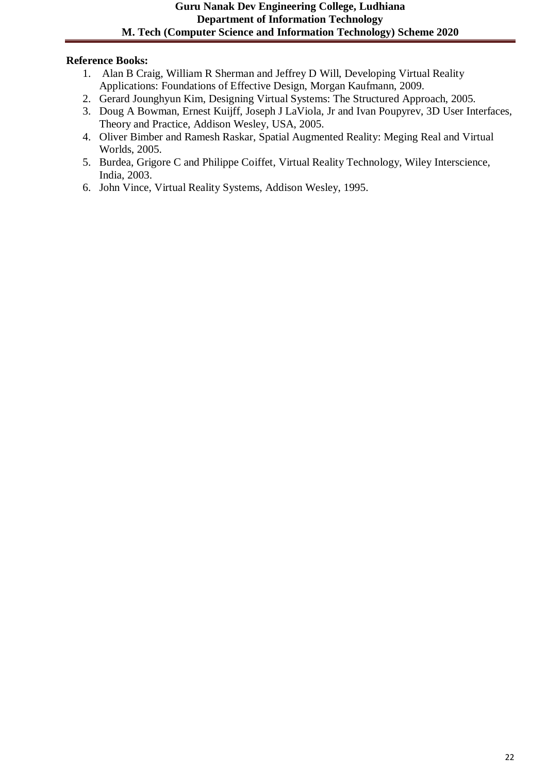- 1. Alan B Craig, William R Sherman and Jeffrey D Will, Developing Virtual Reality Applications: Foundations of Effective Design, Morgan Kaufmann, 2009.
- 2. Gerard Jounghyun Kim, Designing Virtual Systems: The Structured Approach, 2005.
- 3. Doug A Bowman, Ernest Kuijff, Joseph J LaViola, Jr and Ivan Poupyrev, 3D User Interfaces, Theory and Practice, Addison Wesley, USA, 2005.
- 4. Oliver Bimber and Ramesh Raskar, Spatial Augmented Reality: Meging Real and Virtual Worlds, 2005.
- 5. Burdea, Grigore C and Philippe Coiffet, Virtual Reality Technology, Wiley Interscience, India, 2003.
- 6. John Vince, Virtual Reality Systems, Addison Wesley, 1995.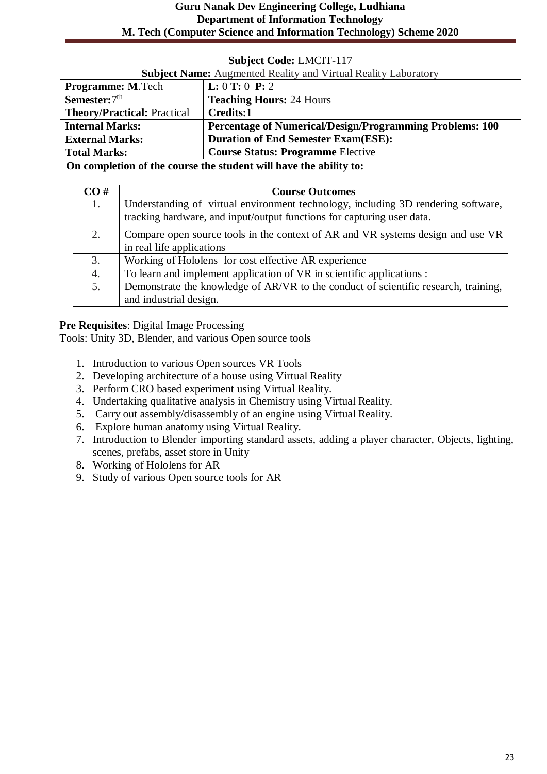# **Guru Nanak Dev Engineering College, Ludhiana Department of Information Technology M. Tech (Computer Science and Information Technology) Scheme 2020**

# **Subject Code:** LMCIT-117

| <b>Subject Name:</b> Augmented Reality and Virtual Reality Laboratory |                                                                 |
|-----------------------------------------------------------------------|-----------------------------------------------------------------|
| <b>Programme: M.Tech</b>                                              | L: 0 T: 0 P: 2                                                  |
| Semester: 7 <sup>th</sup>                                             | <b>Teaching Hours: 24 Hours</b>                                 |
| <b>Theory/Practical: Practical</b>                                    | Credits:1                                                       |
| <b>Internal Marks:</b>                                                | <b>Percentage of Numerical/Design/Programming Problems: 100</b> |
| <b>External Marks:</b>                                                | <b>Duration of End Semester Exam(ESE):</b>                      |
| <b>Total Marks:</b>                                                   | <b>Course Status: Programme Elective</b>                        |

**On completion of the course the student will have the ability to:**

| CO# | <b>Course Outcomes</b>                                                              |
|-----|-------------------------------------------------------------------------------------|
|     | Understanding of virtual environment technology, including 3D rendering software,   |
|     | tracking hardware, and input/output functions for capturing user data.              |
| 2.  | Compare open source tools in the context of AR and VR systems design and use VR     |
|     | in real life applications                                                           |
| 3.  | Working of Hololens for cost effective AR experience                                |
| 4.  | To learn and implement application of VR in scientific applications :               |
| 5.  | Demonstrate the knowledge of AR/VR to the conduct of scientific research, training, |
|     | and industrial design.                                                              |

**Pre Requisites**: Digital Image Processing

Tools: Unity 3D, Blender, and various Open source tools

- 1. Introduction to various Open sources VR Tools
- 2. Developing architecture of a house using Virtual Reality
- 3. Perform CRO based experiment using Virtual Reality.
- 4. Undertaking qualitative analysis in Chemistry using Virtual Reality.
- 5. Carry out assembly/disassembly of an engine using Virtual Reality.
- 6. Explore human anatomy using Virtual Reality.
- 7. Introduction to Blender importing standard assets, adding a player character, Objects, lighting, scenes, prefabs, asset store in Unity
- 8. Working of Hololens for AR
- 9. Study of various Open source tools for AR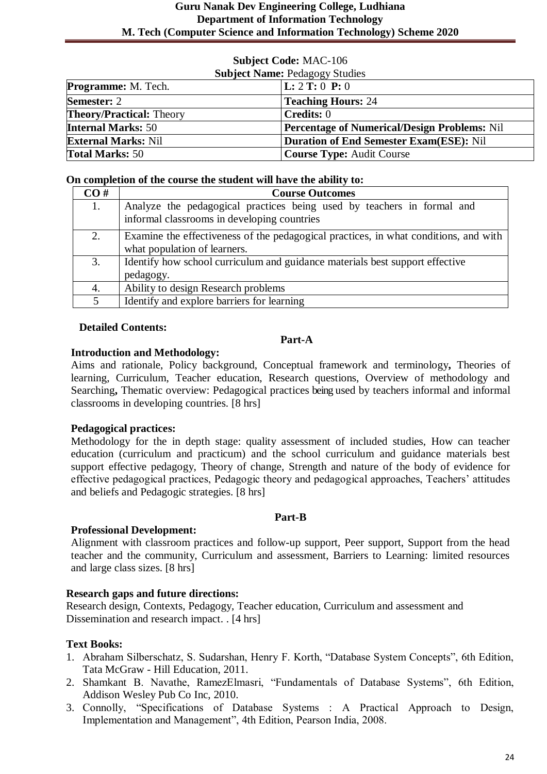# **Subject Name: Pedagogy Studies Programme:** M. Tech. **L:** 2 **T:** 0 **P:** 0 **Semester: 2 Teaching Hours: 24 Theory/Practical:** Theory **Credits:** 0 **Internal Marks:** 50 **Percentage of Numerical/Design Problems:** Nil

**External Marks:** Nil **Duration of End Semester Exam(ESE):** Nil

# **Subject Code:** MAC-106

#### **On completion of the course the student will have the ability to:**

**Total Marks:** 50 **Course Type:** Audit Course

| CO# | <b>Course Outcomes</b>                                                               |
|-----|--------------------------------------------------------------------------------------|
| 1.  | Analyze the pedagogical practices being used by teachers in formal and               |
|     | informal classrooms in developing countries                                          |
| 2.  | Examine the effectiveness of the pedagogical practices, in what conditions, and with |
|     | what population of learners.                                                         |
| 3.  | Identify how school curriculum and guidance materials best support effective         |
|     | pedagogy.                                                                            |
| 4.  | Ability to design Research problems                                                  |
| 5   | Identify and explore barriers for learning                                           |

#### **Detailed Contents:**

#### **Part-A**

#### **Introduction and Methodology:**

Aims and rationale, Policy background, Conceptual framework and terminology**,** Theories of learning, Curriculum, Teacher education, Research questions, Overview of methodology and Searching**,** Thematic overview: Pedagogical practices being used by teachers informal and informal classrooms in developing countries. [8 hrs]

# **Pedagogical practices:**

Methodology for the in depth stage: quality assessment of included studies, How can teacher education (curriculum and practicum) and the school curriculum and guidance materials best support effective pedagogy, Theory of change, Strength and nature of the body of evidence for effective pedagogical practices, Pedagogic theory and pedagogical approaches, Teachers' attitudes and beliefs and Pedagogic strategies. [8 hrs]

#### **Part-B**

#### **Professional Development:**

Alignment with classroom practices and follow-up support, Peer support, Support from the head teacher and the community, Curriculum and assessment, Barriers to Learning: limited resources and large class sizes. [8 hrs]

# **Research gaps and future directions:**

Research design, Contexts, Pedagogy, Teacher education, Curriculum and assessment and Dissemination and research impact. . [4 hrs]

#### **Text Books:**

- 1. Abraham Silberschatz, S. Sudarshan, Henry F. Korth, "Database System Concepts", 6th Edition, Tata McGraw - Hill Education, 2011.
- 2. Shamkant B. Navathe, RamezElmasri, "Fundamentals of Database Systems", 6th Edition, Addison Wesley Pub Co Inc, 2010.
- 3. Connolly, "Specifications of Database Systems : A Practical Approach to Design, Implementation and Management", 4th Edition, Pearson India, 2008.